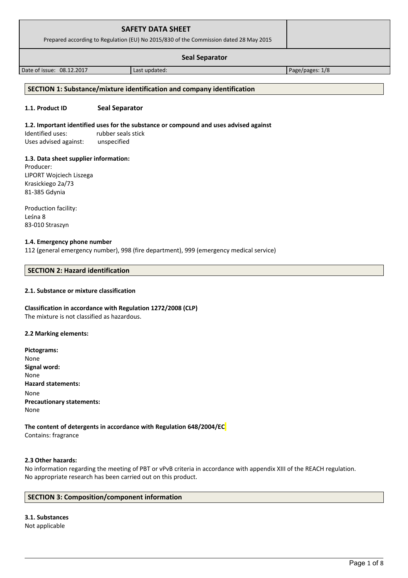| <b>SAFETY DATA SHEET</b><br>Prepared according to Regulation (EU) No 2015/830 of the Commission dated 28 May 2015 |               |                 |
|-------------------------------------------------------------------------------------------------------------------|---------------|-----------------|
| <b>Seal Separator</b>                                                                                             |               |                 |
| Date of issue: 08.12.2017                                                                                         | Last updated: | Page/pages: 1/8 |

## **SECTION 1: Substance/mixture identification and company identification**

### **1.1. Product ID Seal Separator**

### **1.2. Important identified uses for the substance or compound and uses advised against**

Identified uses: rubber seals stick Uses advised against: unspecified

### **1.3. Data sheet supplier information:**

Producer: LIPORT Wojciech Liszega Krasickiego 2a/73 81-385 Gdynia

Production facility: Leśna 8 83-010 Straszyn

### **1.4. Emergency phone number**

112 (general emergency number), 998 (fire department), 999 (emergency medical service)

# **SECTION 2: Hazard identification**

### **2.1. Substance or mixture classification**

# **Classification in accordance with Regulation 1272/2008 (CLP)**

The mixture is not classified as hazardous.

### **2.2 Marking elements:**

**Pictograms:** None **Signal word:**  None **Hazard statements:** None **Precautionary statements:** None

**The content of detergents in accordance with Regulation 648/2004/EC** Contains: fragrance

### **2.3 Other hazards:**

No information regarding the meeting of PBT or vPvB criteria in accordance with appendix XIII of the REACH regulation. No appropriate research has been carried out on this product.

### **SECTION 3: Composition/component information**

**3.1. Substances** Not applicable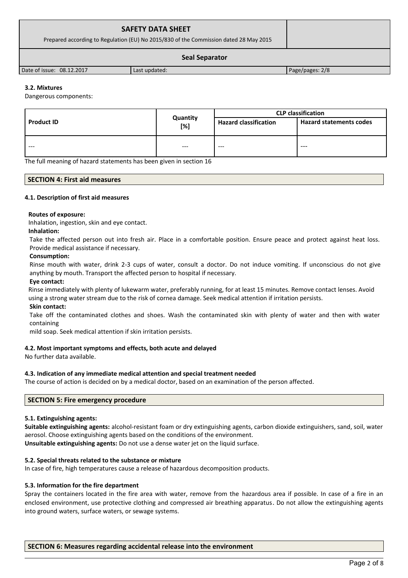| <b>SAFETY DATA SHEET</b><br>Prepared according to Regulation (EU) No 2015/830 of the Commission dated 28 May 2015 |               |                 |
|-------------------------------------------------------------------------------------------------------------------|---------------|-----------------|
| <b>Seal Separator</b>                                                                                             |               |                 |
| Date of issue: 08.12.2017                                                                                         | Last updated: | Page/pages: 2/8 |

### **3.2. Mixtures**

Dangerous components:

|                   |                    | <b>CLP classification</b>    |                                |
|-------------------|--------------------|------------------------------|--------------------------------|
| <b>Product ID</b> | Quantity<br>$[\%]$ | <b>Hazard classification</b> | <b>Hazard statements codes</b> |
| $- - -$           | $- - -$            | $- - -$                      | $---$                          |

The full meaning of hazard statements has been given in section 16

### **SECTION 4: First aid measures**

### **4.1. Description of first aid measures**

### **Routes of exposure:**

Inhalation, ingestion, skin and eye contact.

### **Inhalation:**

Take the affected person out into fresh air. Place in a comfortable position. Ensure peace and protect against heat loss. Provide medical assistance if necessary.

### **Consumption:**

Rinse mouth with water, drink 2-3 cups of water, consult a doctor. Do not induce vomiting. If unconscious do not give anything by mouth. Transport the affected person to hospital if necessary.

### **Eye contact:**

Rinse immediately with plenty of lukewarm water, preferably running, for at least 15 minutes. Remove contact lenses. Avoid using a strong water stream due to the risk of cornea damage. Seek medical attention if irritation persists.

### **Skin contact:**

Take off the contaminated clothes and shoes. Wash the contaminated skin with plenty of water and then with water containing

mild soap. Seek medical attention if skin irritation persists.

### **4.2. Most important symptoms and effects, both acute and delayed**

No further data available.

### **4.3. Indication of any immediate medical attention and special treatment needed**

The course of action is decided on by a medical doctor, based on an examination of the person affected.

### **SECTION 5: Fire emergency procedure**

### **5.1. Extinguishing agents:**

**Suitable extinguishing agents:** alcohol-resistant foam or dry extinguishing agents, carbon dioxide extinguishers, sand, soil, water aerosol. Choose extinguishing agents based on the conditions of the environment.

**Unsuitable extinguishing agents:** Do not use a dense water jet on the liquid surface.

### **5.2. Special threats related to the substance or mixture**

In case of fire, high temperatures cause a release of hazardous decomposition products.

### **5.3. Information for the fire department**

Spray the containers located in the fire area with water, remove from the hazardous area if possible. In case of a fire in an enclosed environment, use protective clothing and compressed air breathing apparatus. Do not allow the extinguishing agents into ground waters, surface waters, or sewage systems.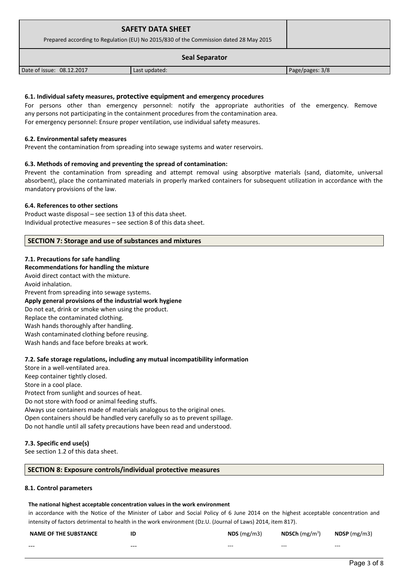| <b>SAFETY DATA SHEET</b><br>Prepared according to Regulation (EU) No 2015/830 of the Commission dated 28 May 2015 |               |                 |
|-------------------------------------------------------------------------------------------------------------------|---------------|-----------------|
|                                                                                                                   |               |                 |
| Date of issue: 08.12.2017                                                                                         | Last updated: | Page/pages: 3/8 |

### **6.1. Individual safety measures, protective equipment and emergency procedures**

For persons other than emergency personnel: notify the appropriate authorities of the emergency. Remove any persons not participating in the containment procedures from the contamination area. For emergency personnel: Ensure proper ventilation, use individual safety measures.

### **6.2. Environmental safety measures**

Prevent the contamination from spreading into sewage systems and water reservoirs.

### **6.3. Methods of removing and preventing the spread of contamination:**

Prevent the contamination from spreading and attempt removal using absorptive materials (sand, diatomite, universal absorbent), place the contaminated materials in properly marked containers for subsequent utilization in accordance with the mandatory provisions of the law.

### **6.4. References to other sections**

Product waste disposal – see section 13 of this data sheet. Individual protective measures – see section 8 of this data sheet.

### **SECTION 7: Storage and use of substances and mixtures**

### **7.1. Precautions for safe handling**

### **Recommendations for handling the mixture**

Avoid direct contact with the mixture. Avoid inhalation. Prevent from spreading into sewage systems. **Apply general provisions of the industrial work hygiene**  Do not eat, drink or smoke when using the product. Replace the contaminated clothing. Wash hands thoroughly after handling. Wash contaminated clothing before reusing. Wash hands and face before breaks at work.

### **7.2. Safe storage regulations, including any mutual incompatibility information**

Store in a well-ventilated area. Keep container tightly closed. Store in a cool place. Protect from sunlight and sources of heat. Do not store with food or animal feeding stuffs. Always use containers made of materials analogous to the original ones. Open containers should be handled very carefully so as to prevent spillage. Do not handle until all safety precautions have been read and understood.

### **7.3. Specific end use(s)**

See section 1.2 of this data sheet.

### **SECTION 8: Exposure controls/individual protective measures**

### **8.1. Control parameters**

### **The national highest acceptable concentration values in the work environment**

in accordance with the Notice of the Minister of Labor and Social Policy of 6 June 2014 on the highest acceptable concentration and intensity of factors detrimental to health in the work environment (Dz.U. (Journal of Laws) 2014, item 817).

| <b>NAME OF THE SUBSTANCE</b> | ID      | NDS(mg/m3) | <b>NDSCh</b> (mg/m <sup>3</sup> ) | $NDSP$ (mg/m3) |
|------------------------------|---------|------------|-----------------------------------|----------------|
| $- - -$                      | $- - -$ | $- - -$    | $- - -$                           | $- - -$        |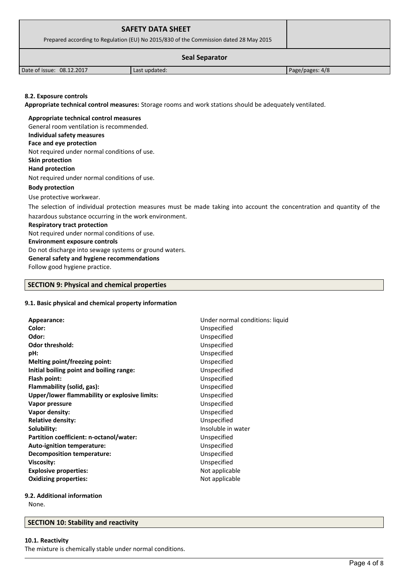|                                                                                                                                                                                                                                                                           | <b>SAFETY DATA SHEET</b><br>Prepared according to Regulation (EU) No 2015/830 of the Commission dated 28 May 2015 |  |  |  |
|---------------------------------------------------------------------------------------------------------------------------------------------------------------------------------------------------------------------------------------------------------------------------|-------------------------------------------------------------------------------------------------------------------|--|--|--|
|                                                                                                                                                                                                                                                                           | <b>Seal Separator</b>                                                                                             |  |  |  |
| Date of issue: 08.12.2017                                                                                                                                                                                                                                                 | Last updated:                                                                                                     |  |  |  |
| Page/pages: 4/8<br>8.2. Exposure controls<br>Appropriate technical control measures: Storage rooms and work stations should be adequately ventilated.<br>Appropriate technical control measures<br>General room ventilation is recommended.<br>Individual safety measures |                                                                                                                   |  |  |  |

# **Face and eye protection**

Not required under normal conditions of use.

**Skin protection** 

**Hand protection** Not required under normal conditions of use.

# **Body protection**

Use protective workwear.

The selection of individual protection measures must be made taking into account the concentration and quantity of the hazardous substance occurring in the work environment.

# **Respiratory tract protection**

Not required under normal conditions of use. **Environment exposure controls** 

Do not discharge into sewage systems or ground waters.

# **General safety and hygiene recommendations**

Follow good hygiene practice.

# **SECTION 9: Physical and chemical properties**

# **9.1. Basic physical and chemical property information**

| Appearance:                                   | Under normal conditions: liquid |
|-----------------------------------------------|---------------------------------|
| Color:                                        | Unspecified                     |
| Odor:                                         | Unspecified                     |
| <b>Odor threshold:</b>                        | Unspecified                     |
| pH:                                           | Unspecified                     |
| Melting point/freezing point:                 | Unspecified                     |
| Initial boiling point and boiling range:      | Unspecified                     |
| Flash point:                                  | Unspecified                     |
| Flammability (solid, gas):                    | Unspecified                     |
| Upper/lower flammability or explosive limits: | Unspecified                     |
| Vapor pressure                                | Unspecified                     |
| Vapor density:                                | Unspecified                     |
| <b>Relative density:</b>                      | Unspecified                     |
| Solubility:                                   | Insoluble in water              |
| Partition coefficient: n-octanol/water:       | Unspecified                     |
| Auto-ignition temperature:                    | Unspecified                     |
| <b>Decomposition temperature:</b>             | Unspecified                     |
| <b>Viscosity:</b>                             | Unspecified                     |
| <b>Explosive properties:</b>                  | Not applicable                  |
| <b>Oxidizing properties:</b>                  | Not applicable                  |
|                                               |                                 |

# **9.2. Additional information**

None.

# **SECTION 10: Stability and reactivity**

# **10.1. Reactivity**

The mixture is chemically stable under normal conditions.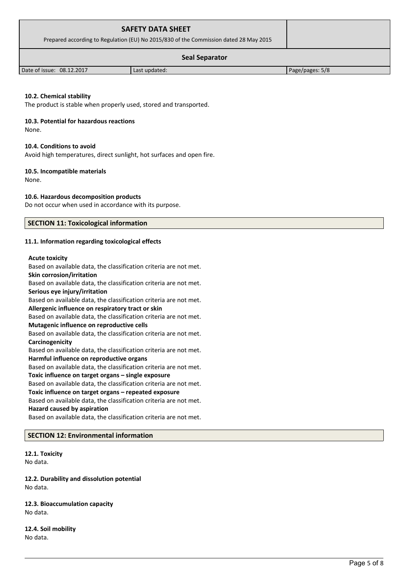| <b>SAFETY DATA SHEET</b><br>Prepared according to Regulation (EU) No 2015/830 of the Commission dated 28 May 2015 |               |                 |
|-------------------------------------------------------------------------------------------------------------------|---------------|-----------------|
|                                                                                                                   |               |                 |
| Date of issue: 08.12.2017                                                                                         | Last updated: | Page/pages: 5/8 |

### **10.2. Chemical stability**

The product is stable when properly used, stored and transported.

### **10.3. Potential for hazardous reactions**

None.

### **10.4. Conditions to avoid**

Avoid high temperatures, direct sunlight, hot surfaces and open fire.

### **10.5. Incompatible materials**

None.

### **10.6. Hazardous decomposition products**

Do not occur when used in accordance with its purpose.

### **SECTION 11: Toxicological information**

### **11.1. Information regarding toxicological effects**

### **Acute toxicity**

Based on available data, the classification criteria are not met. **Skin corrosion/irritation**

Based on available data, the classification criteria are not met. **Serious eye injury/irritation**

Based on available data, the classification criteria are not met.

# **Allergenic influence on respiratory tract or skin**

Based on available data, the classification criteria are not met. **Mutagenic influence on reproductive cells**

Based on available data, the classification criteria are not met. **Carcinogenicity**

Based on available data, the classification criteria are not met. **Harmful influence on reproductive organs**

Based on available data, the classification criteria are not met.

### **Toxic influence on target organs – single exposure**

Based on available data, the classification criteria are not met. **Toxic influence on target organs – repeated exposure**

Based on available data, the classification criteria are not met.

# **Hazard caused by aspiration**

Based on available data, the classification criteria are not met.

# **SECTION 12: Environmental information**

### **12.1. Toxicity** No data.

**12.2. Durability and dissolution potential** No data.

## **12.3. Bioaccumulation capacity** No data.

**12.4. Soil mobility** No data.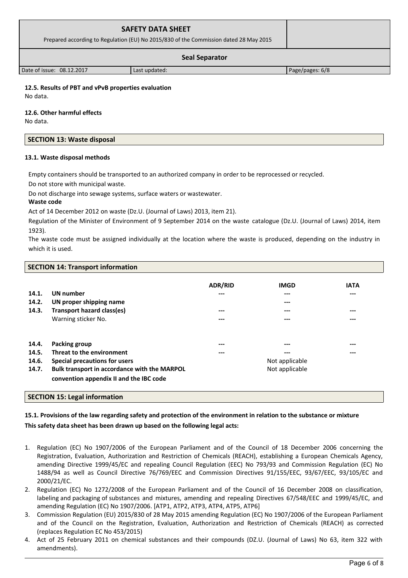| <b>SAFETY DATA SHEET</b><br>Prepared according to Regulation (EU) No 2015/830 of the Commission dated 28 May 2015 |                 |  |
|-------------------------------------------------------------------------------------------------------------------|-----------------|--|
| <b>Seal Separator</b>                                                                                             |                 |  |
| Date of issue: 08.12.2017                                                                                         | Page/pages: 6/8 |  |

## **12.5. Results of PBT and vPvB properties evaluation**

No data.

**12.6. Other harmful effects**

No data.

### **SECTION 13: Waste disposal**

### **13.1. Waste disposal methods**

Empty containers should be transported to an authorized company in order to be reprocessed or recycled.

Do not store with municipal waste.

Do not discharge into sewage systems, surface waters or wastewater.

**Waste code**

Act of 14 December 2012 on waste (Dz.U. (Journal of Laws) 2013, item 21).

Regulation of the Minister of Environment of 9 September 2014 on the waste catalogue (Dz.U. (Journal of Laws) 2014, item 1923).

The waste code must be assigned individually at the location where the waste is produced, depending on the industry in which it is used.

### **SECTION 14: Transport information**

| 14.1.<br>14.2.<br>14.3. | <b>UN</b> number<br>UN proper shipping name<br>Transport hazard class(es)<br>Warning sticker No. | <b>ADR/RID</b><br>---<br>---<br>--- | <b>IMGD</b><br>---<br>---<br>---<br>--- | <b>IATA</b><br>$---$<br>$---$<br>$---$ |
|-------------------------|--------------------------------------------------------------------------------------------------|-------------------------------------|-----------------------------------------|----------------------------------------|
| 14.4.<br>14.5.<br>14.6. | Packing group<br>Threat to the environment<br>Special precautions for users                      | ---<br>---                          | ---<br>---<br>Not applicable            | $---$<br>---                           |
| 14.7.                   | Bulk transport in accordance with the MARPOL<br>convention appendix II and the IBC code          |                                     | Not applicable                          |                                        |

## **SECTION 15: Legal information**

# **15.1. Provisions of the law regarding safety and protection of the environment in relation to the substance or mixture This safety data sheet has been drawn up based on the following legal acts:**

- 1. Regulation (EC) No 1907/2006 of the European Parliament and of the Council of 18 December 2006 concerning the Registration, Evaluation, Authorization and Restriction of Chemicals (REACH), establishing a European Chemicals Agency, amending Directive 1999/45/EC and repealing Council Regulation (EEC) No 793/93 and Commission Regulation (EC) No 1488/94 as well as Council Directive 76/769/EEC and Commission Directives 91/155/EEC, 93/67/EEC, 93/105/EC and 2000/21/EC.
- 2. Regulation (EC) No 1272/2008 of the European Parliament and of the Council of 16 December 2008 on classification, labeling and packaging of substances and mixtures, amending and repealing Directives 67/548/EEC and 1999/45/EC, and amending Regulation (EC) No 1907/2006. [ATP1, ATP2, ATP3, ATP4, ATP5, ATP6]
- 3. Commission Regulation (EU) 2015/830 of 28 May 2015 amending Regulation (EC) No 1907/2006 of the European Parliament and of the Council on the Registration, Evaluation, Authorization and Restriction of Chemicals (REACH) as corrected (replaces Regulation EC No 453/2015)
- 4. Act of 25 February 2011 on chemical substances and their compounds (DZ.U. (Journal of Laws) No 63, item 322 with amendments).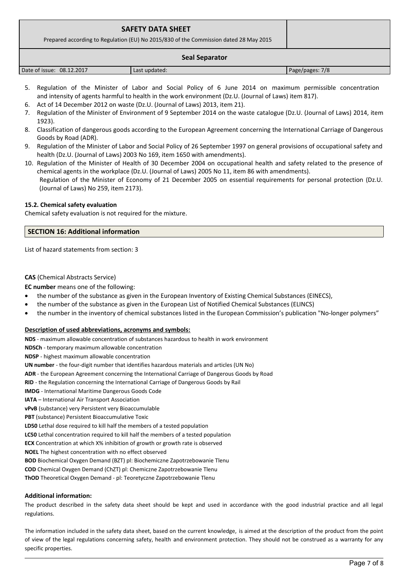| <b>SAFETY DATA SHEET</b><br>Prepared according to Regulation (EU) No 2015/830 of the Commission dated 28 May 2015 |               |                 |
|-------------------------------------------------------------------------------------------------------------------|---------------|-----------------|
| <b>Seal Separator</b>                                                                                             |               |                 |
| Date of issue: 08.12.2017                                                                                         | Last updated: | Page/pages: 7/8 |

- 5. Regulation of the Minister of Labor and Social Policy of 6 June 2014 on maximum permissible concentration and intensity of agents harmful to health in the work environment (Dz.U. (Journal of Laws) item 817).
- 6. Act of 14 December 2012 on waste (Dz.U. (Journal of Laws) 2013, item 21).
- 7. Regulation of the Minister of Environment of 9 September 2014 on the waste catalogue (Dz.U. (Journal of Laws) 2014, item 1923).
- 8. Classification of dangerous goods according to the European Agreement concerning the International Carriage of Dangerous Goods by Road (ADR).
- 9. Regulation of the Minister of Labor and Social Policy of 26 September 1997 on general provisions of occupational safety and health (Dz.U. (Journal of Laws) 2003 No 169, item 1650 with amendments).
- 10. Regulation of the Minister of Health of 30 December 2004 on occupational health and safety related to the presence of chemical agents in the workplace (Dz.U. (Journal of Laws) 2005 No 11, item 86 with amendments). Regulation of the Minister of Economy of 21 December 2005 on essential requirements for personal protection (Dz.U. (Journal of Laws) No 259, item 2173).

### **15.2. Chemical safety evaluation**

Chemical safety evaluation is not required for the mixture.

### **SECTION 16: Additional information**

List of hazard statements from section: 3

### **CAS** (Chemical Abstracts Service)

**EC number** means one of the following:

- the number of the substance as given in the European Inventory of Existing Chemical Substances (EINECS),
- the number of the substance as given in the European List of Notified Chemical Substances (ELINCS)
- the number in the inventory of chemical substances listed in the European Commission's publication "No-longer polymers"

### **Description of used abbreviations, acronyms and symbols:**

**NDS** - maximum allowable concentration of substances hazardous to health in work environment

**NDSCh** - temporary maximum allowable concentration

**NDSP** - highest maximum allowable concentration

**UN number** - the four-digit number that identifies hazardous materials and articles (UN No)

**ADR** - the European Agreement concerning the International Carriage of Dangerous Goods by Road

**RID** - the Regulation concerning the International Carriage of Dangerous Goods by Rail

**IMDG** - International Maritime Dangerous Goods Code

**IATA** – International Air Transport Association

**vPvB** (substance) very Persistent very Bioaccumulable

**PBT** (substance) Persistent Bioaccumulative Toxic

**LD50** Lethal dose required to kill half the members of a tested population

**LC50** Lethal concentration required to kill half the members of a tested population

**ECX** Concentration at which X% inhibition of growth or growth rate is observed

**NOEL** The highest concentration with no effect observed

**BOD** Biochemical Oxygen Demand (BZT) pl: Biochemiczne Zapotrzebowanie Tlenu

**COD** Chemical Oxygen Demand (ChZT) pl: Chemiczne Zapotrzebowanie Tlenu

**ThOD** Theoretical Oxygen Demand - pl: Teoretyczne Zapotrzebowanie Tlenu

### **Additional information:**

The product described in the safety data sheet should be kept and used in accordance with the good industrial practice and all legal regulations.

The information included in the safety data sheet, based on the current knowledge, is aimed at the description of the product from the point of view of the legal regulations concerning safety, health and environment protection. They should not be construed as a warranty for any specific properties.